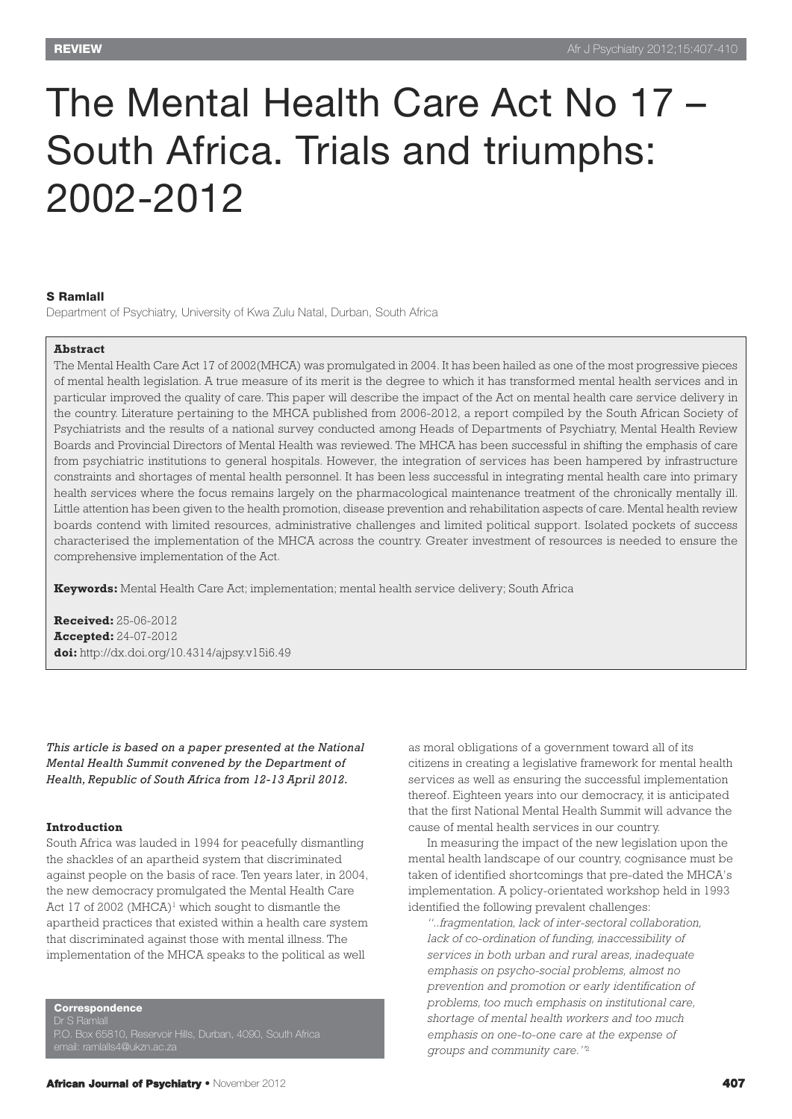# The Mental Health Care Act No 17 – South Africa. Trials and triumphs: 2002-2012

## **S Ramlall**

Department of Psychiatry, University of Kwa Zulu Natal, Durban, South Africa

#### **Abstract**

The Mental Health Care Act 17 of 2002(MHCA) was promulgated in 2004. It has been hailed as one of the most progressive pieces of mental health legislation. A true measure of its merit is the degree to which it has transformed mental health services and in particular improved the quality of care. This paper will describe the impact of the Act on mental health care service delivery in the country. Literature pertaining to the MHCA published from 2006-2012, a report compiled by the South African Society of Psychiatrists and the results of a national survey conducted among Heads of Departments of Psychiatry, Mental Health Review Boards and Provincial Directors of Mental Health was reviewed. The MHCA has been successful in shifting the emphasis of care from psychiatric institutions to general hospitals. However, the integration of services has been hampered by infrastructure constraints and shortages of mental health personnel. It has been less successful in integrating mental health care into primary health services where the focus remains largely on the pharmacological maintenance treatment of the chronically mentally ill. Little attention has been given to the health promotion, disease prevention and rehabilitation aspects of care. Mental health review boards contend with limited resources, administrative challenges and limited political support. Isolated pockets of success characterised the implementation of the MHCA across the country. Greater investment of resources is needed to ensure the comprehensive implementation of the Act.

**Keywords:** Mental Health Care Act; implementation; mental health service delivery; South Africa

**Received:** 25-06-2012 **Accepted:** 24-07-2012 **doi:** http://dx.doi.org/10.4314/ajpsy.v15i6.49

*This article is based on a paper presented at the National Mental Health Summit convened by the Department of Health, Republic of South Africa from 12-13 April 2012.*

#### **Introduction**

South Africa was lauded in 1994 for peacefully dismantling the shackles of an apartheid system that discriminated against people on the basis of race. Ten years later, in 2004, the new democracy promulgated the Mental Health Care Act 17 of 2002 (MHCA)<sup>1</sup> which sought to dismantle the apartheid practices that existed within a health care system that discriminated against those with mental illness. The implementation of the MHCA speaks to the political as well

**Correspondence**

Dr S Ramlall P.O. Box 65810, Reservoir Hills, Durban, 4090, South Africa as moral obligations of a government toward all of its citizens in creating a legislative framework for mental health services as well as ensuring the successful implementation thereof. Eighteen years into our democracy, it is anticipated that the first National Mental Health Summit will advance the cause of mental health services in our country.

In measuring the impact of the new legislation upon the mental health landscape of our country, cognisance must be taken of identified shortcomings that pre-dated the MHCA's implementation. A policy-orientated workshop held in 1993 identified the following prevalent challenges:

*"..fragmentation, lack of inter-sectoral collaboration, lack of co-ordination of funding, inaccessibility of services in both urban and rural areas, inadequate emphasis on psycho-social problems, almost no prevention and promotion or early identification of problems, too much emphasis on institutional care, shortage of mental health workers and too much emphasis on one-to-one care at the expense of groups and community care."*<sup>2</sup>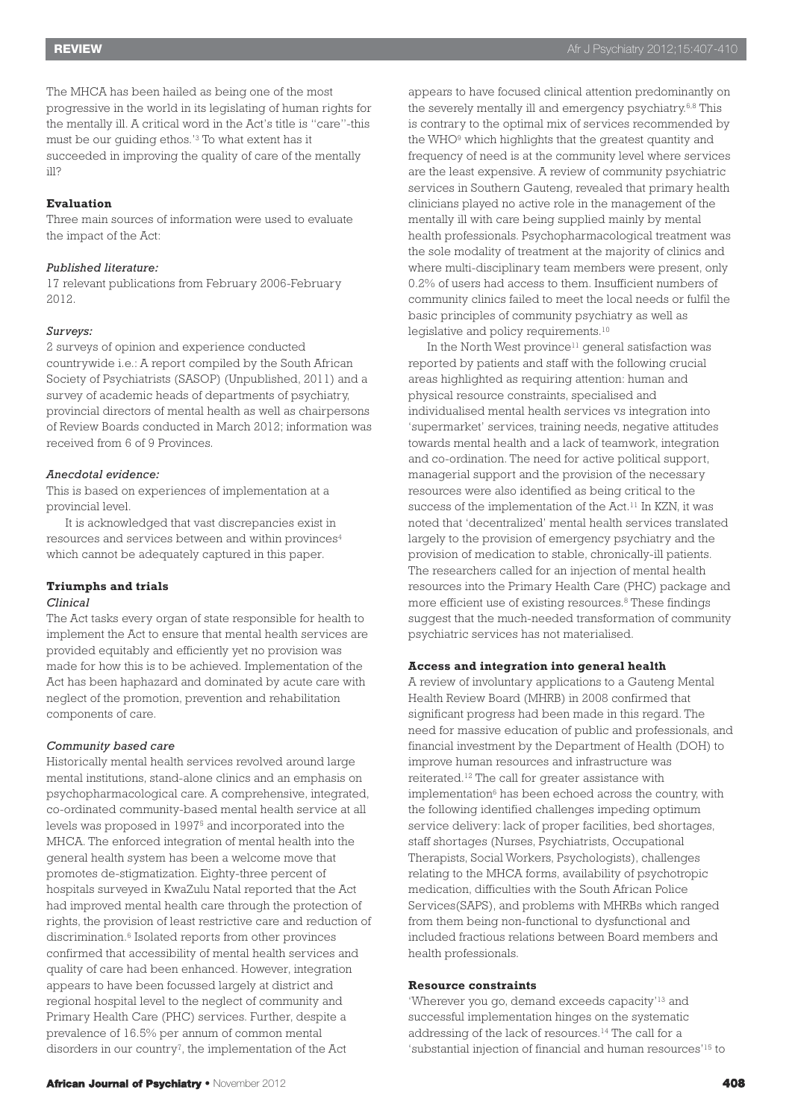The MHCA has been hailed as being one of the most progressive in the world in its legislating of human rights for the mentally ill. A critical word in the Act's title is "care"-this must be our guiding ethos.' <sup>3</sup> To what extent has it succeeded in improving the quality of care of the mentally ill?

# **Evaluation**

Three main sources of information were used to evaluate the impact of the Act:

#### *Published literature:*

17 relevant publications from February 2006-February 2012.

# *Surveys:*

2 surveys of opinion and experience conducted countrywide i.e.: A report compiled by the South African Society of Psychiatrists (SASOP) (Unpublished, 2011) and a survey of academic heads of departments of psychiatry, provincial directors of mental health as well as chairpersons of Review Boards conducted in March 2012; information was received from 6 of 9 Provinces.

# *Anecdotal evidence:*

This is based on experiences of implementation at a provincial level.

It is acknowledged that vast discrepancies exist in resources and services between and within provinces4 which cannot be adequately captured in this paper.

### **Triumphs and trials**

#### *Clinical*

The Act tasks every organ of state responsible for health to implement the Act to ensure that mental health services are provided equitably and efficiently yet no provision was made for how this is to be achieved. Implementation of the Act has been haphazard and dominated by acute care with neglect of the promotion, prevention and rehabilitation components of care.

# *Community based care*

Historically mental health services revolved around large mental institutions, stand-alone clinics and an emphasis on psychopharmacological care. A comprehensive, integrated, co-ordinated community-based mental health service at all levels was proposed in 19975 and incorporated into the MHCA. The enforced integration of mental health into the general health system has been a welcome move that promotes de-stigmatization. Eighty-three percent of hospitals surveyed in KwaZulu Natal reported that the Act had improved mental health care through the protection of rights, the provision of least restrictive care and reduction of discrimination. <sup>6</sup> Isolated reports from other provinces confirmed that accessibility of mental health services and quality of care had been enhanced. However, integration appears to have been focussed largely at district and regional hospital level to the neglect of community and Primary Health Care (PHC) services. Further, despite a prevalence of 16.5% per annum of common mental disorders in our country<sup> $7$ </sup>, the implementation of the Act

appears to have focused clinical attention predominantly on the severely mentally ill and emergency psychiatry.<sup>6,8</sup> This is contrary to the optimal mix of services recommended by the WHO9 which highlights that the greatest quantity and frequency of need is at the community level where services are the least expensive. A review of community psychiatric services in Southern Gauteng, revealed that primary health clinicians played no active role in the management of the mentally ill with care being supplied mainly by mental health professionals. Psychopharmacological treatment was the sole modality of treatment at the majority of clinics and where multi-disciplinary team members were present, only 0.2% of users had access to them. Insufficient numbers of community clinics failed to meet the local needs or fulfil the basic principles of community psychiatry as well as legislative and policy requirements. 10

In the North West province<sup>11</sup> general satisfaction was reported by patients and staff with the following crucial areas highlighted as requiring attention: human and physical resource constraints, specialised and individualised mental health services vs integration into 'supermarket' services, training needs, negative attitudes towards mental health and a lack of teamwork, integration and co-ordination. The need for active political support, managerial support and the provision of the necessary resources were also identified as being critical to the success of the implementation of the Act. <sup>11</sup> In KZN, it was noted that 'decentralized' mental health services translated largely to the provision of emergency psychiatry and the provision of medication to stable, chronically-ill patients. The researchers called for an injection of mental health resources into the Primary Health Care (PHC) package and more efficient use of existing resources. <sup>8</sup> These findings suggest that the much-needed transformation of community psychiatric services has not materialised.

# **Access and integration into general health**

A review of involuntary applications to a Gauteng Mental Health Review Board (MHRB) in 2008 confirmed that significant progress had been made in this regard. The need for massive education of public and professionals, and financial investment by the Department of Health (DOH) to improve human resources and infrastructure was reiterated. <sup>12</sup> The call for greater assistance with implementation<sup>6</sup> has been echoed across the country, with the following identified challenges impeding optimum service delivery: lack of proper facilities, bed shortages, staff shortages (Nurses, Psychiatrists, Occupational Therapists, Social Workers, Psychologists), challenges relating to the MHCA forms, availability of psychotropic medication, difficulties with the South African Police Services(SAPS), and problems with MHRBs which ranged from them being non-functional to dysfunctional and included fractious relations between Board members and health professionals.

# **Resource constraints**

'Wherever you go, demand exceeds capacity'<sup>13</sup> and successful implementation hinges on the systematic addressing of the lack of resources. <sup>14</sup> The call for a 'substantial injection of financial and human resources' <sup>15</sup> to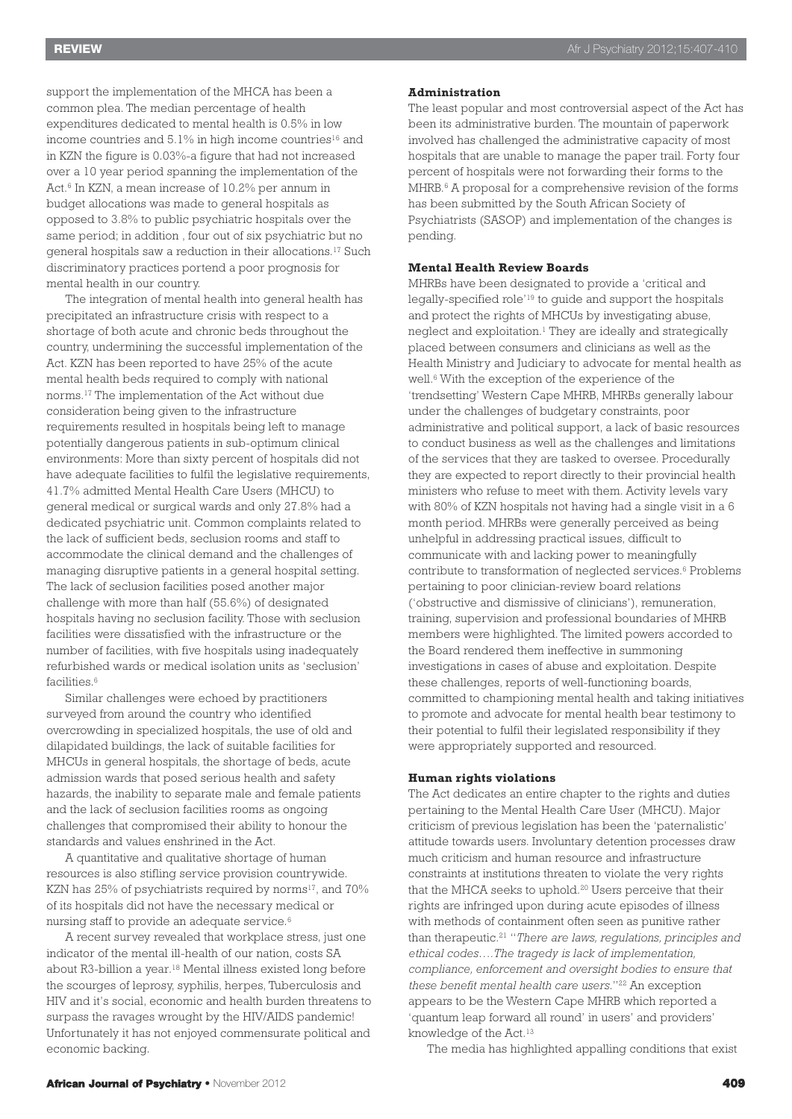support the implementation of the MHCA has been a common plea. The median percentage of health expenditures dedicated to mental health is 0.5% in low income countries and  $5.1\%$  in high income countries<sup>16</sup> and in KZN the figure is 0.03%-a figure that had not increased over a 10 year period spanning the implementation of the Act. <sup>6</sup> In KZN, a mean increase of 10.2% per annum in budget allocations was made to general hospitals as opposed to 3.8% to public psychiatric hospitals over the same period; in addition , four out of six psychiatric but no general hospitals saw a reduction in their allocations. <sup>17</sup> Such discriminatory practices portend a poor prognosis for mental health in our country.

The integration of mental health into general health has precipitated an infrastructure crisis with respect to a shortage of both acute and chronic beds throughout the country, undermining the successful implementation of the Act. KZN has been reported to have 25% of the acute mental health beds required to comply with national norms. <sup>17</sup> The implementation of the Act without due consideration being given to the infrastructure requirements resulted in hospitals being left to manage potentially dangerous patients in sub-optimum clinical environments: More than sixty percent of hospitals did not have adequate facilities to fulfil the legislative requirements, 41.7% admitted Mental Health Care Users (MHCU) to general medical or surgical wards and only 27.8% had a dedicated psychiatric unit. Common complaints related to the lack of sufficient beds, seclusion rooms and staff to accommodate the clinical demand and the challenges of managing disruptive patients in a general hospital setting. The lack of seclusion facilities posed another major challenge with more than half (55.6%) of designated hospitals having no seclusion facility. Those with seclusion facilities were dissatisfied with the infrastructure or the number of facilities, with five hospitals using inadequately refurbished wards or medical isolation units as 'seclusion' facilities. 6

Similar challenges were echoed by practitioners surveyed from around the country who identified overcrowding in specialized hospitals, the use of old and dilapidated buildings, the lack of suitable facilities for MHCUs in general hospitals, the shortage of beds, acute admission wards that posed serious health and safety hazards, the inability to separate male and female patients and the lack of seclusion facilities rooms as ongoing challenges that compromised their ability to honour the standards and values enshrined in the Act.

A quantitative and qualitative shortage of human resources is also stifling service provision countrywide. KZN has  $25\%$  of psychiatrists required by norms<sup>17</sup>, and  $70\%$ of its hospitals did not have the necessary medical or nursing staff to provide an adequate service. 6

A recent survey revealed that workplace stress, just one indicator of the mental ill-health of our nation, costs SA about R3-billion a year. <sup>18</sup> Mental illness existed long before the scourges of leprosy, syphilis, herpes, Tuberculosis and HIV and it's social, economic and health burden threatens to surpass the ravages wrought by the HIV/AIDS pandemic! Unfortunately it has not enjoyed commensurate political and economic backing.

#### **Administration**

The least popular and most controversial aspect of the Act has been its administrative burden. The mountain of paperwork involved has challenged the administrative capacity of most hospitals that are unable to manage the paper trail. Forty four percent of hospitals were not forwarding their forms to the MHRB. <sup>6</sup> A proposal for a comprehensive revision of the forms has been submitted by the South African Society of Psychiatrists (SASOP) and implementation of the changes is pending.

# **Mental Health Review Boards**

MHRBs have been designated to provide a 'critical and legally-specified role' <sup>19</sup> to guide and support the hospitals and protect the rights of MHCUs by investigating abuse, neglect and exploitation. <sup>1</sup> They are ideally and strategically placed between consumers and clinicians as well as the Health Ministry and Judiciary to advocate for mental health as well. <sup>6</sup> With the exception of the experience of the 'trendsetting' Western Cape MHRB, MHRBs generally labour under the challenges of budgetary constraints, poor administrative and political support, a lack of basic resources to conduct business as well as the challenges and limitations of the services that they are tasked to oversee. Procedurally they are expected to report directly to their provincial health ministers who refuse to meet with them. Activity levels vary with 80% of KZN hospitals not having had a single visit in a 6 month period. MHRBs were generally perceived as being unhelpful in addressing practical issues, difficult to communicate with and lacking power to meaningfully contribute to transformation of neglected services. <sup>6</sup> Problems pertaining to poor clinician-review board relations ('obstructive and dismissive of clinicians'), remuneration, training, supervision and professional boundaries of MHRB members were highlighted. The limited powers accorded to the Board rendered them ineffective in summoning investigations in cases of abuse and exploitation. Despite these challenges, reports of well-functioning boards, committed to championing mental health and taking initiatives to promote and advocate for mental health bear testimony to their potential to fulfil their legislated responsibility if they were appropriately supported and resourced.

# **Human rights violations**

The Act dedicates an entire chapter to the rights and duties pertaining to the Mental Health Care User (MHCU). Major criticism of previous legislation has been the 'paternalistic' attitude towards users. Involuntary detention processes draw much criticism and human resource and infrastructure constraints at institutions threaten to violate the very rights that the MHCA seeks to uphold. <sup>20</sup> Users perceive that their rights are infringed upon during acute episodes of illness with methods of containment often seen as punitive rather than therapeutic. <sup>21</sup> "*There are laws, regulations, principles and ethical codes….The tragedy is lack of implementation, compliance, enforcement and oversight bodies to ensure that these benefit mental health care users*."22 An exception appears to be the Western Cape MHRB which reported a 'quantum leap forward all round' in users' and providers' knowledge of the Act.<sup>13</sup>

The media has highlighted appalling conditions that exist